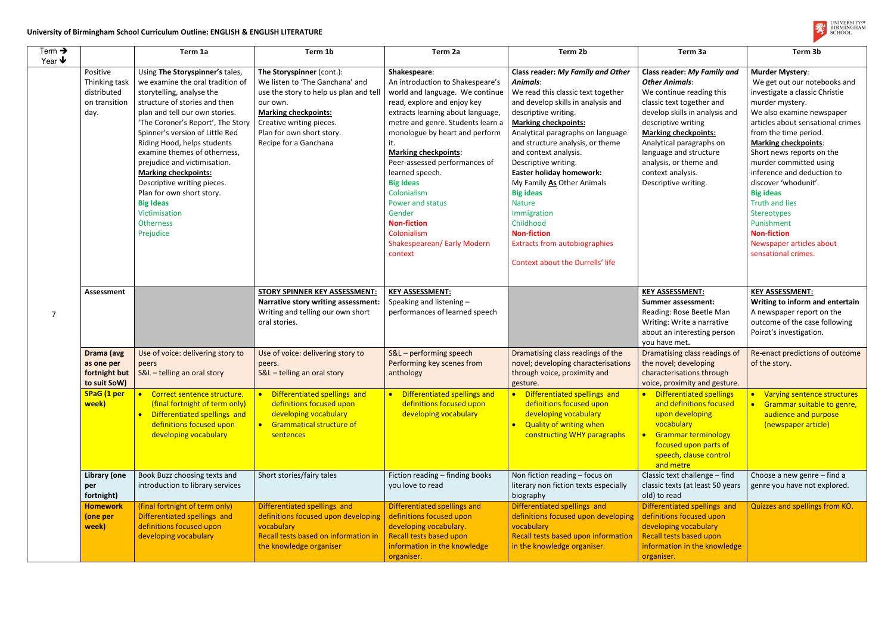## **University of Birmingham School Curriculum Outline: ENGLISH & ENGLISH LITERATURE**

| Term $\rightarrow$   |                                                                   | Term 1a                                                                                                                                                                                                                                                                                                                                                                                                                                                                                                     | Term 1b                                                                                                                                                                                                                            | Term 2a                                                                                                                                                                                                                                                                                                                                                                                                                                                           | Term 2b                                                                                                                                                                                                                                                                                                                                                                                                                                                                                                                                               | Term 3a                                                                                                                                                                                                                                                                                                                                   | Term 3b                                                                                                                                                                                                                                                                                                                                                                                                                                                                                               |
|----------------------|-------------------------------------------------------------------|-------------------------------------------------------------------------------------------------------------------------------------------------------------------------------------------------------------------------------------------------------------------------------------------------------------------------------------------------------------------------------------------------------------------------------------------------------------------------------------------------------------|------------------------------------------------------------------------------------------------------------------------------------------------------------------------------------------------------------------------------------|-------------------------------------------------------------------------------------------------------------------------------------------------------------------------------------------------------------------------------------------------------------------------------------------------------------------------------------------------------------------------------------------------------------------------------------------------------------------|-------------------------------------------------------------------------------------------------------------------------------------------------------------------------------------------------------------------------------------------------------------------------------------------------------------------------------------------------------------------------------------------------------------------------------------------------------------------------------------------------------------------------------------------------------|-------------------------------------------------------------------------------------------------------------------------------------------------------------------------------------------------------------------------------------------------------------------------------------------------------------------------------------------|-------------------------------------------------------------------------------------------------------------------------------------------------------------------------------------------------------------------------------------------------------------------------------------------------------------------------------------------------------------------------------------------------------------------------------------------------------------------------------------------------------|
| Year $\blacklozenge$ | Positive<br>Thinking task<br>distributed<br>on transition<br>day. | Using The Storyspinner's tales,<br>we examine the oral tradition of<br>storytelling, analyse the<br>structure of stories and then<br>plan and tell our own stories.<br>'The Coroner's Report', The Story<br>Spinner's version of Little Red<br>Riding Hood, helps students<br>examine themes of otherness,<br>prejudice and victimisation.<br><b>Marking checkpoints:</b><br>Descriptive writing pieces.<br>Plan for own short story.<br><b>Big Ideas</b><br>Victimisation<br><b>Otherness</b><br>Prejudice | The Storyspinner (cont.):<br>We listen to 'The Ganchana' and<br>use the story to help us plan and tel<br>our own.<br><b>Marking checkpoints:</b><br>Creative writing pieces.<br>Plan for own short story.<br>Recipe for a Ganchana | Shakespeare:<br>An introduction to Shakespeare's<br>world and language. We continue<br>read, explore and enjoy key<br>extracts learning about language,<br>metre and genre. Students learn a<br>monologue by heart and perform<br><b>Marking checkpoints:</b><br>Peer-assessed performances of<br>learned speech.<br><b>Big Ideas</b><br>Colonialism<br>Power and status<br>Gender<br><b>Non-fiction</b><br>Colonialism<br>Shakespearean/ Early Modern<br>context | Class reader: My Family and Other<br>Animals:<br>We read this classic text together<br>and develop skills in analysis and<br>descriptive writing.<br><b>Marking checkpoints:</b><br>Analytical paragraphs on language<br>and structure analysis, or theme<br>and context analysis.<br>Descriptive writing.<br><b>Easter holiday homework:</b><br>My Family As Other Animals<br><b>Big ideas</b><br><b>Nature</b><br>Immigration<br>Childhood<br><b>Non-fiction</b><br><b>Extracts from autobiographies</b><br><b>Context about the Durrells' life</b> | <b>Class reader: My Family and</b><br><b>Other Animals:</b><br>We continue reading this<br>classic text together and<br>develop skills in analysis and<br>descriptive writing<br><b>Marking checkpoints:</b><br>Analytical paragraphs on<br>language and structure<br>analysis, or theme and<br>context analysis.<br>Descriptive writing. | <b>Murder Mystery:</b><br>We get out our notebooks and<br>investigate a classic Christie<br>murder mystery.<br>We also examine newspaper<br>articles about sensational crimes<br>from the time period.<br><b>Marking checkpoints:</b><br>Short news reports on the<br>murder committed using<br>inference and deduction to<br>discover 'whodunit'.<br><b>Big ideas</b><br><b>Truth and lies</b><br>Stereotypes<br>Punishment<br><b>Non-fiction</b><br>Newspaper articles about<br>sensational crimes. |
| 7                    | <b>Assessment</b><br>Drama (avg<br>as one per                     | Use of voice: delivering story to<br>peers                                                                                                                                                                                                                                                                                                                                                                                                                                                                  | <b>STORY SPINNER KEY ASSESSMENT:</b><br>Narrative story writing assessment:<br>Writing and telling our own short<br>oral stories.<br>Use of voice: delivering story to<br>peers.                                                   | <b>KEY ASSESSMENT:</b><br>Speaking and listening -<br>performances of learned speech<br>S&L - performing speech<br>Performing key scenes from                                                                                                                                                                                                                                                                                                                     | Dramatising class readings of the<br>novel; developing characterisations                                                                                                                                                                                                                                                                                                                                                                                                                                                                              | <b>KEY ASSESSMENT:</b><br><b>Summer assessment:</b><br>Reading: Rose Beetle Man<br>Writing: Write a narrative<br>about an interesting person<br>you have met.<br>Dramatising class readings of<br>the novel; developing                                                                                                                   | <b>KEY ASSESSMENT:</b><br>Writing to inform and entertain<br>A newspaper report on the<br>outcome of the case following<br>Poirot's investigation.<br>Re-enact predictions of outcome<br>of the story.                                                                                                                                                                                                                                                                                                |
|                      | fortnight but<br>to suit SoW)<br>SPaG (1 per<br>week)             | S&L - telling an oral story<br>Correct sentence structure.<br>(final fortnight of term only)<br>Differentiated spellings and<br>definitions focused upon<br>developing vocabulary                                                                                                                                                                                                                                                                                                                           | S&L - telling an oral story<br>• Differentiated spellings and<br>definitions focused upon<br>developing vocabulary<br>• Grammatical structure of<br>sentences                                                                      | anthology<br>• Differentiated spellings and<br>definitions focused upon<br>developing vocabulary                                                                                                                                                                                                                                                                                                                                                                  | through voice, proximity and<br>gesture.<br>Differentiated spellings and<br>$\bullet$<br>definitions focused upon<br>developing vocabulary<br>• Quality of writing when<br>constructing WHY paragraphs                                                                                                                                                                                                                                                                                                                                                | characterisations through<br>voice, proximity and gesture.<br>• Differentiated spellings<br>and definitions focused<br>upon developing<br>vocabulary<br>• Grammar terminology<br>focused upon parts of<br>speech, clause control<br>and metre                                                                                             | • Varying sentence structures<br>• Grammar suitable to genre,<br>audience and purpose<br>(newspaper article)                                                                                                                                                                                                                                                                                                                                                                                          |
|                      | <b>Library (one</b><br>per<br>fortnight)                          | Book Buzz choosing texts and<br>introduction to library services                                                                                                                                                                                                                                                                                                                                                                                                                                            | Short stories/fairy tales                                                                                                                                                                                                          | Fiction reading - finding books<br>you love to read                                                                                                                                                                                                                                                                                                                                                                                                               | Non fiction reading - focus on<br>literary non fiction texts especially<br>biography                                                                                                                                                                                                                                                                                                                                                                                                                                                                  | Classic text challenge - find<br>classic texts (at least 50 years<br>old) to read                                                                                                                                                                                                                                                         | Choose a new genre - find a<br>genre you have not explored.                                                                                                                                                                                                                                                                                                                                                                                                                                           |
|                      | <b>Homework</b><br>(one per<br>week)                              | (final fortnight of term only)<br>Differentiated spellings and<br>definitions focused upon<br>developing vocabulary                                                                                                                                                                                                                                                                                                                                                                                         | Differentiated spellings and<br>definitions focused upon developing<br>vocabulary<br>Recall tests based on information in<br>the knowledge organiser                                                                               | Differentiated spellings and<br>definitions focused upon<br>developing vocabulary.<br>Recall tests based upon<br>information in the knowledge<br>organiser.                                                                                                                                                                                                                                                                                                       | Differentiated spellings and<br>definitions focused upon developing<br>vocabulary<br>Recall tests based upon information<br>in the knowledge organiser.                                                                                                                                                                                                                                                                                                                                                                                               | Differentiated spellings and<br>definitions focused upon<br>developing vocabulary<br>Recall tests based upon<br>information in the knowledge<br>organiser.                                                                                                                                                                                | Quizzes and spellings from KO.                                                                                                                                                                                                                                                                                                                                                                                                                                                                        |

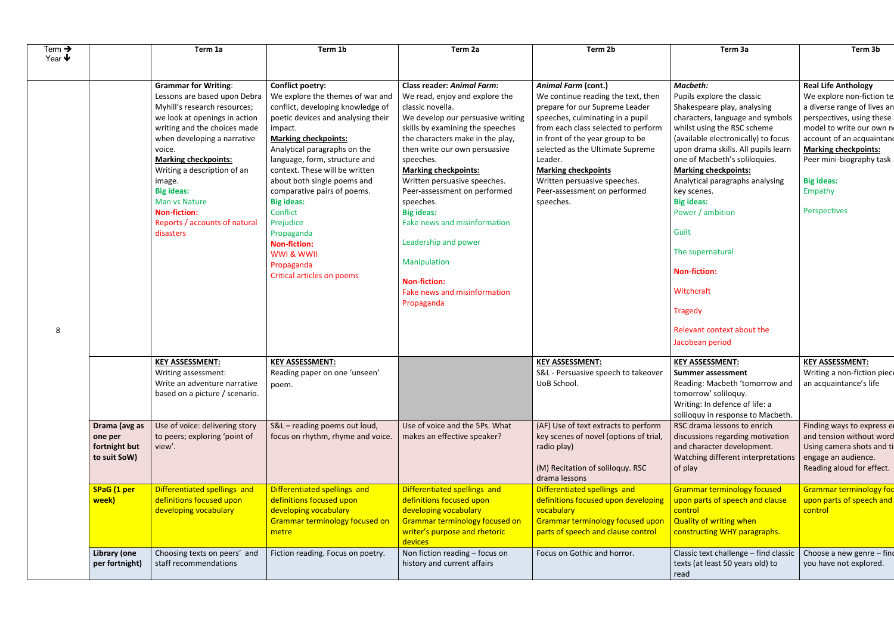| Term $\rightarrow$<br>Year $\blacklozenge$ | Term 1a                                                                                                                                                                                                                                                                                                                                                                                  | Term 1b                                                                                                                                                                                                                                                                                                                                                                                                                                                                                               | Term 2a                                                                                                                                                                                                                                                                                                                                                                                                                                                                                                                          | Term 2b                                                                                                                                                                                                                                                                                                                                                                     | Term 3a                                                                                                                                                                                                                                                                                                                                                                                                                                                                                                                | Term 3b                                                                                                                                                                                                                                                                                   |
|--------------------------------------------|------------------------------------------------------------------------------------------------------------------------------------------------------------------------------------------------------------------------------------------------------------------------------------------------------------------------------------------------------------------------------------------|-------------------------------------------------------------------------------------------------------------------------------------------------------------------------------------------------------------------------------------------------------------------------------------------------------------------------------------------------------------------------------------------------------------------------------------------------------------------------------------------------------|----------------------------------------------------------------------------------------------------------------------------------------------------------------------------------------------------------------------------------------------------------------------------------------------------------------------------------------------------------------------------------------------------------------------------------------------------------------------------------------------------------------------------------|-----------------------------------------------------------------------------------------------------------------------------------------------------------------------------------------------------------------------------------------------------------------------------------------------------------------------------------------------------------------------------|------------------------------------------------------------------------------------------------------------------------------------------------------------------------------------------------------------------------------------------------------------------------------------------------------------------------------------------------------------------------------------------------------------------------------------------------------------------------------------------------------------------------|-------------------------------------------------------------------------------------------------------------------------------------------------------------------------------------------------------------------------------------------------------------------------------------------|
| 8                                          | <b>Grammar for Writing:</b><br>Lessons are based upon Debra<br>Myhill's research resources;<br>we look at openings in action<br>writing and the choices made<br>when developing a narrative<br>voice.<br><b>Marking checkpoints:</b><br>Writing a description of an<br>image.<br><b>Big ideas:</b><br>Man vs Nature<br><b>Non-fiction:</b><br>Reports / accounts of natural<br>disasters | <b>Conflict poetry:</b><br>We explore the themes of war and<br>conflict, developing knowledge of<br>poetic devices and analysing their<br>impact.<br><b>Marking checkpoints:</b><br>Analytical paragraphs on the<br>language, form, structure and<br>context. These will be written<br>about both single poems and<br>comparative pairs of poems.<br><b>Big ideas:</b><br>Conflict<br>Prejudice<br>Propaganda<br><b>Non-fiction:</b><br>WWI & WWII<br>Propaganda<br><b>Critical articles on poems</b> | <b>Class reader: Animal Farm:</b><br>We read, enjoy and explore the<br>classic novella.<br>We develop our persuasive writing<br>skills by examining the speeches<br>the characters make in the play,<br>then write our own persuasive<br>speeches.<br><b>Marking checkpoints:</b><br>Written persuasive speeches.<br>Peer-assessment on performed<br>speeches.<br><b>Big ideas:</b><br>Fake news and misinformation<br>Leadership and power<br>Manipulation<br><b>Non-fiction:</b><br>Fake news and misinformation<br>Propaganda | <b>Animal Farm (cont.)</b><br>We continue reading the text, then<br>prepare for our Supreme Leader<br>speeches, culminating in a pupil<br>from each class selected to perform<br>in front of the year group to be<br>selected as the Ultimate Supreme<br>Leader.<br><b>Marking checkpoints</b><br>Written persuasive speeches.<br>Peer-assessment on performed<br>speeches. | Macbeth:<br>Pupils explore the classic<br>Shakespeare play, analysing<br>characters, language and symbols<br>whilst using the RSC scheme<br>(available electronically) to focus<br>upon drama skills. All pupils learn<br>one of Macbeth's soliloquies.<br><b>Marking checkpoints:</b><br>Analytical paragraphs analysing<br>key scenes.<br><b>Big ideas:</b><br>Power / ambition<br>Guilt<br>The supernatural<br><b>Non-fiction:</b><br>Witchcraft<br><b>Tragedy</b><br>Relevant context about the<br>Jacobean period | <b>Real Life Anthology</b><br>We explore non-fiction te:<br>a diverse range of lives an<br>perspectives, using these<br>model to write our own no<br>account of an acquaintand<br><b>Marking checkpoints:</b><br>Peer mini-biography task<br><b>Big ideas:</b><br>Empathy<br>Perspectives |
|                                            | <b>KEY ASSESSMENT:</b><br>Writing assessment:<br>Write an adventure narrative<br>based on a picture / scenario.                                                                                                                                                                                                                                                                          | <b>KEY ASSESSMENT:</b><br>Reading paper on one 'unseen'<br>poem.                                                                                                                                                                                                                                                                                                                                                                                                                                      |                                                                                                                                                                                                                                                                                                                                                                                                                                                                                                                                  | <b>KEY ASSESSMENT:</b><br>S&L - Persuasive speech to takeover $\vert$ Summer assessment<br>UoB School.                                                                                                                                                                                                                                                                      | <b>KEY ASSESSMENT:</b><br>Reading: Macbeth 'tomorrow and<br>tomorrow' soliloquy.<br>Writing: In defence of life: a<br>soliloquy in response to Macbeth.                                                                                                                                                                                                                                                                                                                                                                | <b>KEY ASSESSMENT:</b><br>Writing a non-fiction piece<br>an acquaintance's life                                                                                                                                                                                                           |
| one per<br>to suit SoW)                    | Use of voice: delivering story<br>Drama (avg as<br>to peers; exploring 'point of<br>fortnight but<br>view'.                                                                                                                                                                                                                                                                              | S&L - reading poems out loud,<br>focus on rhythm, rhyme and voice.                                                                                                                                                                                                                                                                                                                                                                                                                                    | Use of voice and the 5Ps. What<br>makes an effective speaker?                                                                                                                                                                                                                                                                                                                                                                                                                                                                    | (AF) Use of text extracts to perform<br>key scenes of novel (options of trial,<br>radio play)<br>(M) Recitation of soliloquy. RSC<br>drama lessons                                                                                                                                                                                                                          | RSC drama lessons to enrich<br>discussions regarding motivation<br>and character development.<br>Watching different interpretations<br>of play                                                                                                                                                                                                                                                                                                                                                                         | Finding ways to express er<br>and tension without word<br>Using camera shots and ti<br>engage an audience.<br>Reading aloud for effect.                                                                                                                                                   |
| <b>SPaG</b> (1 per<br>week)                | Differentiated spellings and<br>definitions focused upon<br>developing vocabulary                                                                                                                                                                                                                                                                                                        | Differentiated spellings and<br>definitions focused upon<br>developing vocabulary<br>Grammar terminology focused on<br>metre                                                                                                                                                                                                                                                                                                                                                                          | Differentiated spellings and<br>definitions focused upon<br>developing vocabulary<br><b>Grammar terminology focused on</b><br>writer's purpose and rhetoric<br>devices                                                                                                                                                                                                                                                                                                                                                           | Differentiated spellings and<br>definitions focused upon developing<br>vocabulary<br><b>Grammar terminology focused upon</b><br>parts of speech and clause control                                                                                                                                                                                                          | <b>Grammar terminology focused</b><br>upon parts of speech and clause<br>control<br><b>Quality of writing when</b><br>constructing WHY paragraphs.                                                                                                                                                                                                                                                                                                                                                                     | <b>Grammar terminology fod</b><br>upon parts of speech and<br>control                                                                                                                                                                                                                     |
| <b>Library (one</b>                        | Choosing texts on peers' and<br>per fortnight)<br>staff recommendations                                                                                                                                                                                                                                                                                                                  | Fiction reading. Focus on poetry.                                                                                                                                                                                                                                                                                                                                                                                                                                                                     | Non fiction reading - focus on<br>history and current affairs                                                                                                                                                                                                                                                                                                                                                                                                                                                                    | Focus on Gothic and horror.                                                                                                                                                                                                                                                                                                                                                 | Classic text challenge - find classic<br>texts (at least 50 years old) to<br>read                                                                                                                                                                                                                                                                                                                                                                                                                                      | Choose a new genre - find<br>you have not explored.                                                                                                                                                                                                                                       |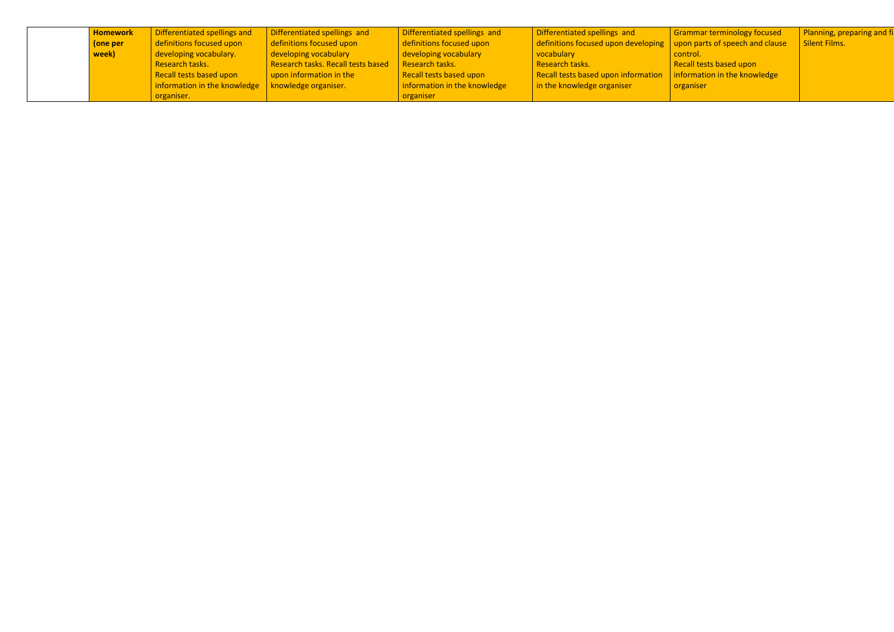| <b>Homework</b> | Differentiated spellings and                                      | Differentiated spellings and       | Differentiated spellings and | Differentiated spellings and                                                                    | Grammar terminology focused | Planning, preparing and fi |
|-----------------|-------------------------------------------------------------------|------------------------------------|------------------------------|-------------------------------------------------------------------------------------------------|-----------------------------|----------------------------|
| (one per        | definitions focused upon                                          | definitions focused upon           | definitions focused upon     | $\frac{1}{2}$ definitions focused upon developing $\frac{1}{2}$ upon parts of speech and clause |                             | Silent Films.              |
| week)           | developing vocabulary.                                            | developing vocabulary              | developing vocabulary        | vocabulary                                                                                      | control.                    |                            |
|                 | Research tasks.                                                   | Research tasks. Recall tests based | Research tasks.              | Research tasks.                                                                                 | Recall tests based upon     |                            |
|                 | Recall tests based upon                                           | upon information in the            | Recall tests based upon      | Recall tests based upon information $\parallel$ information in the knowledge                    |                             |                            |
|                 | $\vert$ information in the knowledge $\vert$ knowledge organiser. |                                    | information in the knowledge | $\frac{1}{2}$ in the knowledge organiser                                                        | organiser                   |                            |
|                 | organiser.                                                        |                                    | organiser                    |                                                                                                 |                             |                            |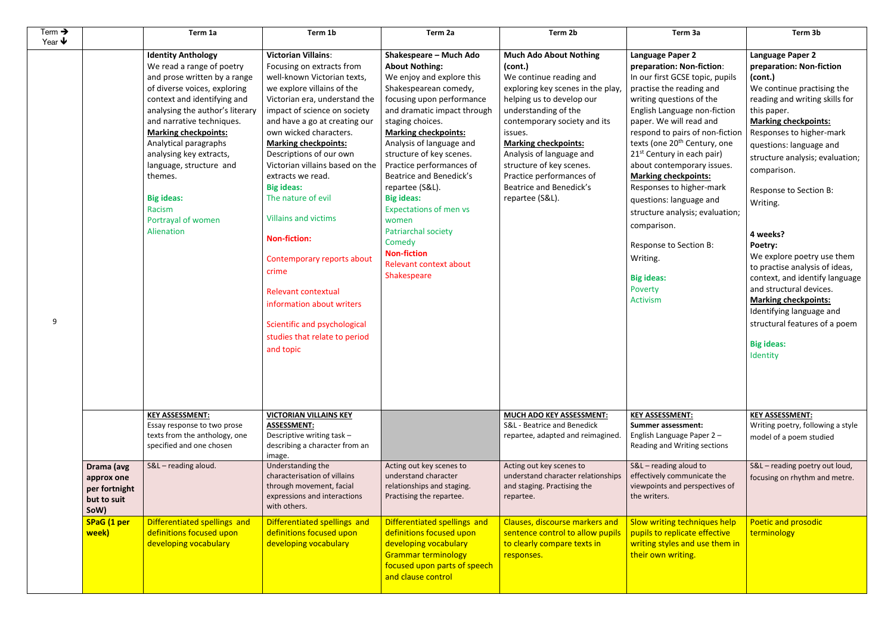| Term $\rightarrow$<br>Year $\blacklozenge$ |                                                                  | Term 1a                                                                                                                                                                                                                                                                                                                                                                                                           | Term 1b                                                                                                                                                                                                                                                                                                                                                                                                                                                                                                                                                                                                                                             | Term 2a                                                                                                                                                                                                                                                                                                                                                                                                                                                                                                               | Term 2b                                                                                                                                                                                                                                                                                                                                                                   | Term 3a                                                                                                                                                                                                                                                                                                                                                                                                                                                                                                                                                                                            | Term 3b                                                                                                                                                                                                                                                                                                                                                                                                                                                                                                   |
|--------------------------------------------|------------------------------------------------------------------|-------------------------------------------------------------------------------------------------------------------------------------------------------------------------------------------------------------------------------------------------------------------------------------------------------------------------------------------------------------------------------------------------------------------|-----------------------------------------------------------------------------------------------------------------------------------------------------------------------------------------------------------------------------------------------------------------------------------------------------------------------------------------------------------------------------------------------------------------------------------------------------------------------------------------------------------------------------------------------------------------------------------------------------------------------------------------------------|-----------------------------------------------------------------------------------------------------------------------------------------------------------------------------------------------------------------------------------------------------------------------------------------------------------------------------------------------------------------------------------------------------------------------------------------------------------------------------------------------------------------------|---------------------------------------------------------------------------------------------------------------------------------------------------------------------------------------------------------------------------------------------------------------------------------------------------------------------------------------------------------------------------|----------------------------------------------------------------------------------------------------------------------------------------------------------------------------------------------------------------------------------------------------------------------------------------------------------------------------------------------------------------------------------------------------------------------------------------------------------------------------------------------------------------------------------------------------------------------------------------------------|-----------------------------------------------------------------------------------------------------------------------------------------------------------------------------------------------------------------------------------------------------------------------------------------------------------------------------------------------------------------------------------------------------------------------------------------------------------------------------------------------------------|
| 9                                          |                                                                  | <b>Identity Anthology</b><br>We read a range of poetry<br>and prose written by a range<br>of diverse voices, exploring<br>context and identifying and<br>analysing the author's literary<br>and narrative techniques.<br><b>Marking checkpoints:</b><br>Analytical paragraphs<br>analysing key extracts,<br>language, structure and<br>themes.<br><b>Big ideas:</b><br>Racism<br>Portrayal of women<br>Alienation | <b>Victorian Villains:</b><br>Focusing on extracts from<br>well-known Victorian texts,<br>we explore villains of the<br>Victorian era, understand the<br>impact of science on society<br>and have a go at creating our<br>own wicked characters.<br><b>Marking checkpoints:</b><br>Descriptions of our own<br>Victorian villains based on the<br>extracts we read.<br><b>Big ideas:</b><br>The nature of evil<br><b>Villains and victims</b><br><b>Non-fiction:</b><br>Contemporary reports about<br>crime<br><b>Relevant contextual</b><br>information about writers<br>Scientific and psychological<br>studies that relate to period<br>and topic | Shakespeare - Much Ado<br><b>About Nothing:</b><br>We enjoy and explore this<br>Shakespearean comedy,<br>focusing upon performance<br>and dramatic impact through<br>staging choices.<br><b>Marking checkpoints:</b><br>Analysis of language and<br>structure of key scenes.<br>Practice performances of<br>Beatrice and Benedick's<br>repartee (S&L).<br><b>Big ideas:</b><br><b>Expectations of men vs</b><br>women<br>Patriarchal society<br>Comedy<br><b>Non-fiction</b><br>Relevant context about<br>Shakespeare | <b>Much Ado About Nothing</b><br>(cont.)<br>We continue reading and<br>exploring key scenes in the play,<br>helping us to develop our<br>understanding of the<br>contemporary society and its<br>issues.<br><b>Marking checkpoints:</b><br>Analysis of language and<br>structure of key scenes.<br>Practice performances of<br>Beatrice and Benedick's<br>repartee (S&L). | <b>Language Paper 2</b><br>preparation: Non-fiction:<br>In our first GCSE topic, pupils<br>practise the reading and<br>writing questions of the<br>English Language non-fiction<br>paper. We will read and<br>respond to pairs of non-fiction<br>texts (one 20 <sup>th</sup> Century, one<br>21 <sup>st</sup> Century in each pair)<br>about contemporary issues.<br><b>Marking checkpoints:</b><br>Responses to higher-mark<br>questions: language and<br>structure analysis; evaluation;<br>comparison.<br>Response to Section B:<br>Writing.<br><b>Big ideas:</b><br>Poverty<br><b>Activism</b> | <b>Language Paper 2</b><br>preparation: Non-f<br>(cont.)<br>We continue practi<br>reading and writing<br>this paper.<br><b>Marking checkpoin</b><br>Responses to highe<br>questions: language<br>structure analysis;<br>comparison.<br><b>Response to Sectio</b><br>Writing.<br>4 weeks?<br>Poetry:<br>We explore poetry<br>to practise analysis<br>context, and identi<br>and structural devi<br><b>Marking checkpoin</b><br>Identifying languag<br>structural features<br><b>Big ideas:</b><br>Identity |
|                                            |                                                                  | <b>KEY ASSESSMENT:</b><br>Essay response to two prose<br>texts from the anthology, one<br>specified and one chosen                                                                                                                                                                                                                                                                                                | <b>VICTORIAN VILLAINS KEY</b><br><b>ASSESSMENT:</b><br>Descriptive writing task -<br>describing a character from an<br>image.                                                                                                                                                                                                                                                                                                                                                                                                                                                                                                                       |                                                                                                                                                                                                                                                                                                                                                                                                                                                                                                                       | <b>MUCH ADO KEY ASSESSMENT:</b><br>S&L - Beatrice and Benedick<br>repartee, adapted and reimagined.                                                                                                                                                                                                                                                                       | <b>KEY ASSESSMENT:</b><br><b>Summer assessment:</b><br>English Language Paper 2-<br>Reading and Writing sections                                                                                                                                                                                                                                                                                                                                                                                                                                                                                   | <b>KEY ASSESSMENT:</b><br>Writing poetry, follow<br>model of a poem stu                                                                                                                                                                                                                                                                                                                                                                                                                                   |
|                                            | Drama (avg<br>approx one<br>per fortnight<br>but to suit<br>SoW) | S&L - reading aloud.                                                                                                                                                                                                                                                                                                                                                                                              | Understanding the<br>characterisation of villains<br>through movement, facial<br>expressions and interactions<br>with others.                                                                                                                                                                                                                                                                                                                                                                                                                                                                                                                       | Acting out key scenes to<br>understand character<br>relationships and staging.<br>Practising the repartee.                                                                                                                                                                                                                                                                                                                                                                                                            | Acting out key scenes to<br>understand character relationships<br>and staging. Practising the<br>repartee.                                                                                                                                                                                                                                                                | S&L - reading aloud to<br>effectively communicate the<br>viewpoints and perspectives of<br>the writers.                                                                                                                                                                                                                                                                                                                                                                                                                                                                                            | S&L - reading poetry<br>focusing on rhythm a                                                                                                                                                                                                                                                                                                                                                                                                                                                              |
|                                            | SPaG (1 per<br>week)                                             | Differentiated spellings and<br>definitions focused upon<br>developing vocabulary                                                                                                                                                                                                                                                                                                                                 | Differentiated spellings and<br>definitions focused upon<br>developing vocabulary                                                                                                                                                                                                                                                                                                                                                                                                                                                                                                                                                                   | Differentiated spellings and<br>definitions focused upon<br>developing vocabulary<br><b>Grammar terminology</b><br>focused upon parts of speech<br>and clause control                                                                                                                                                                                                                                                                                                                                                 | Clauses, discourse markers and<br>sentence control to allow pupils<br>to clearly compare texts in<br>responses.                                                                                                                                                                                                                                                           | Slow writing techniques help<br>pupils to replicate effective<br>writing styles and use them in<br>their own writing.                                                                                                                                                                                                                                                                                                                                                                                                                                                                              | Poetic and prosodi<br>terminology                                                                                                                                                                                                                                                                                                                                                                                                                                                                         |

| Term <sub>3a</sub>                                                                                                                                                                                                                                                                                                                                                                                                                                                                                                                                                                          | Term 3b                                                                                                                                                                                                                                                                                                                                                                                                                                                                                                                                                                                               |
|---------------------------------------------------------------------------------------------------------------------------------------------------------------------------------------------------------------------------------------------------------------------------------------------------------------------------------------------------------------------------------------------------------------------------------------------------------------------------------------------------------------------------------------------------------------------------------------------|-------------------------------------------------------------------------------------------------------------------------------------------------------------------------------------------------------------------------------------------------------------------------------------------------------------------------------------------------------------------------------------------------------------------------------------------------------------------------------------------------------------------------------------------------------------------------------------------------------|
| Language Paper 2<br>preparation: Non-fiction:<br>In our first GCSE topic, pupils<br>practise the reading and<br>writing questions of the<br>English Language non-fiction<br>paper. We will read and<br>respond to pairs of non-fiction<br>texts (one 20 <sup>th</sup> Century, one<br>21 <sup>st</sup> Century in each pair)<br>about contemporary issues.<br><b>Marking checkpoints:</b><br>Responses to higher-mark<br>questions: language and<br>structure analysis; evaluation;<br>comparison.<br>Response to Section B:<br>Writing.<br><b>Big ideas:</b><br>Poverty<br><b>Activism</b> | Language Paper 2<br>preparation: Non-fiction<br>(cont.)<br>We continue practising the<br>reading and writing skills for<br>this paper.<br><b>Marking checkpoints:</b><br>Responses to higher-mark<br>questions: language and<br>structure analysis; evaluation;<br>comparison.<br>Response to Section B:<br>Writing.<br>4 weeks?<br>Poetry:<br>We explore poetry use them<br>to practise analysis of ideas,<br>context, and identify language<br>and structural devices.<br><b>Marking checkpoints:</b><br>Identifying language and<br>structural features of a poem<br><b>Big ideas:</b><br>Identity |
| <b>KEY ASSESSMENT:</b><br>Summer assessment:<br>English Language Paper 2-<br>Reading and Writing sections                                                                                                                                                                                                                                                                                                                                                                                                                                                                                   | <b>KEY ASSESSMENT:</b><br>Writing poetry, following a style<br>model of a poem studied                                                                                                                                                                                                                                                                                                                                                                                                                                                                                                                |
| S&L - reading aloud to<br>effectively communicate the<br>viewpoints and perspectives of<br>the writers.                                                                                                                                                                                                                                                                                                                                                                                                                                                                                     | S&L - reading poetry out loud,<br>focusing on rhythm and metre.                                                                                                                                                                                                                                                                                                                                                                                                                                                                                                                                       |
| <b>Slow writing techniques help</b><br>pupils to replicate effective<br>writing styles and use them in<br>their own writing.                                                                                                                                                                                                                                                                                                                                                                                                                                                                | Poetic and prosodic<br>terminology                                                                                                                                                                                                                                                                                                                                                                                                                                                                                                                                                                    |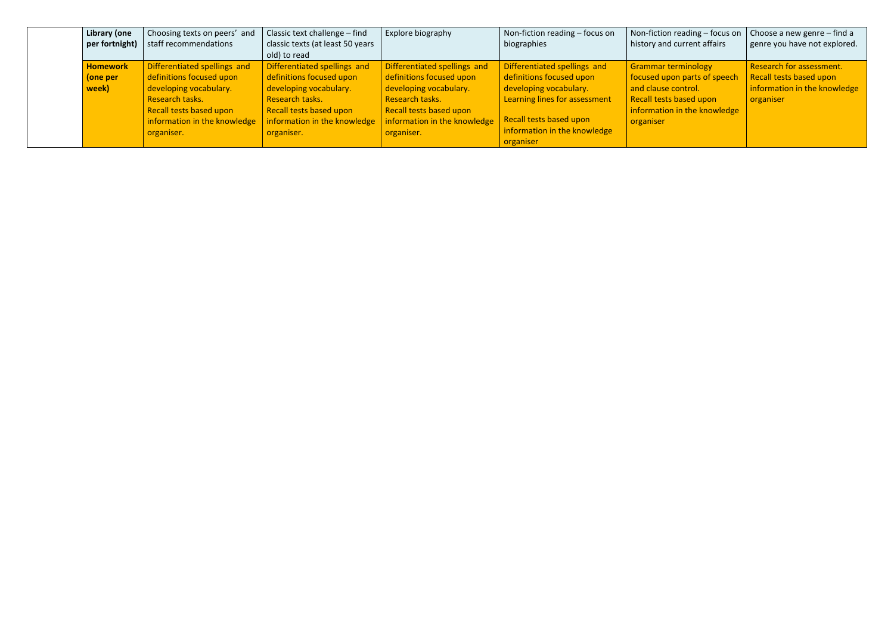| Library (one    | Choosing texts on peers' and | Classic text challenge $-$ find                                       | Explore biography            | Non-fiction reading - focus on | Non-fiction reading – focus on $\vert$ Choose a new genre – find a |                              |
|-----------------|------------------------------|-----------------------------------------------------------------------|------------------------------|--------------------------------|--------------------------------------------------------------------|------------------------------|
| per fortnight)  | staff recommendations        | classic texts (at least 50 years                                      |                              | biographies                    | history and current affairs                                        | genre you have not explored. |
|                 |                              | old) to read                                                          |                              |                                |                                                                    |                              |
| <b>Homework</b> | Differentiated spellings and | Differentiated spellings and                                          | Differentiated spellings and | Differentiated spellings and   | <b>Grammar terminology</b>                                         | Research for assessment.     |
| (one per        | definitions focused upon     | definitions focused upon                                              | definitions focused upon     | definitions focused upon       | focused upon parts of speech                                       | Recall tests based upon      |
| week)           | developing vocabulary.       | developing vocabulary.                                                | developing vocabulary.       | developing vocabulary.         | and clause control.                                                | information in the knowledge |
|                 | Research tasks.              | Research tasks.                                                       | Research tasks.              | Learning lines for assessment  | Recall tests based upon                                            | organiser                    |
|                 | Recall tests based upon      | Recall tests based upon                                               | Recall tests based upon      |                                | information in the knowledge                                       |                              |
|                 |                              | information in the knowledge $\parallel$ information in the knowledge | information in the knowledge | Recall tests based upon        | organiser                                                          |                              |
|                 | organiser.                   | organiser.                                                            | organiser.                   | information in the knowledge   |                                                                    |                              |
|                 |                              |                                                                       |                              | organiser                      |                                                                    |                              |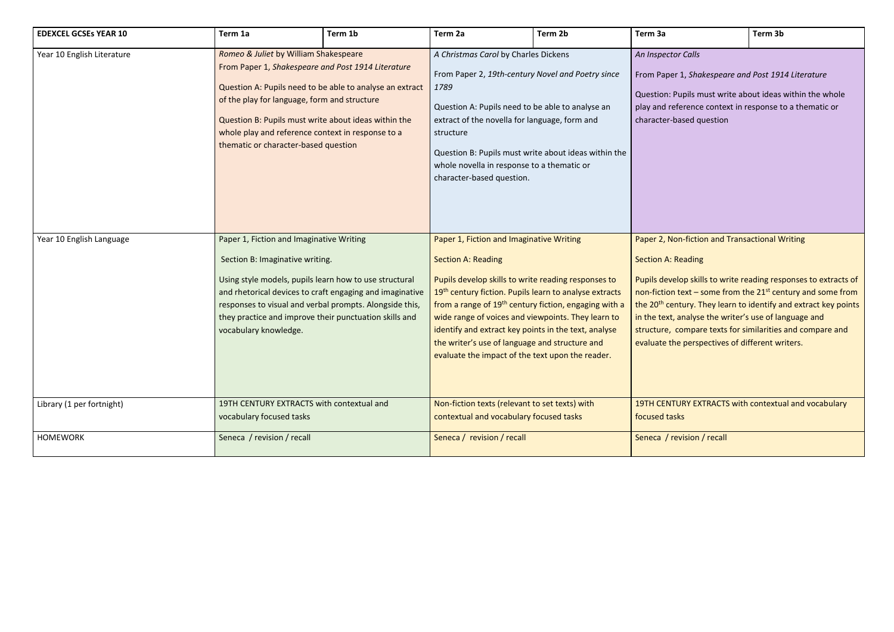## *An Inspector Calls*

er 1, *Shakespeare and Post 1914 Literature* 

Pupils must write about ideas within the whole eference context in response to a thematic or based question

## **Jon-fiction and Transactional Writing**

## Reading

relop skills to write reading responses to extracts of non-fiction text  $-$  some from the 21<sup>st</sup> century and some from entury. They learn to identify and extract key points , analyse the writer's use of language and compare texts for similarities and compare and he perspectives of different writers.

> TURY EXTRACTS with contextual and vocabulary asks

| <b>EDEXCEL GCSEs YEAR 10</b> | Term 1a                                                                                              | Term 1b                                                                                                                                                                                                                                                                                                                                                      | Term 2a                                                                                   | Term 2b                                                                                                                                                                                                                                                                                                                                                                                                            | Term 3a                                                                                                                                                                                                                                                                                                                                                                    | Term 3b                                                                                                                                                                         |  |
|------------------------------|------------------------------------------------------------------------------------------------------|--------------------------------------------------------------------------------------------------------------------------------------------------------------------------------------------------------------------------------------------------------------------------------------------------------------------------------------------------------------|-------------------------------------------------------------------------------------------|--------------------------------------------------------------------------------------------------------------------------------------------------------------------------------------------------------------------------------------------------------------------------------------------------------------------------------------------------------------------------------------------------------------------|----------------------------------------------------------------------------------------------------------------------------------------------------------------------------------------------------------------------------------------------------------------------------------------------------------------------------------------------------------------------------|---------------------------------------------------------------------------------------------------------------------------------------------------------------------------------|--|
| Year 10 English Literature   |                                                                                                      | Romeo & Juliet by William Shakespeare<br>From Paper 1, Shakespeare and Post 1914 Literature<br>Question A: Pupils need to be able to analyse an extract<br>of the play for language, form and structure<br>Question B: Pupils must write about ideas within the<br>whole play and reference context in response to a<br>thematic or character-based question |                                                                                           | A Christmas Carol by Charles Dickens<br>From Paper 2, 19th-century Novel and Poetry since<br>1789<br>Question A: Pupils need to be able to analyse an<br>extract of the novella for language, form and<br>structure<br>Question B: Pupils must write about ideas within the<br>whole novella in response to a thematic or<br>character-based question.                                                             |                                                                                                                                                                                                                                                                                                                                                                            | An Inspector Calls<br>From Paper 1, Shakespeare and Post 191<br>Question: Pupils must write about ideas<br>play and reference context in response t<br>character-based question |  |
| Year 10 English Language     | Paper 1, Fiction and Imaginative Writing<br>Section B: Imaginative writing.<br>vocabulary knowledge. | Using style models, pupils learn how to use structural<br>and rhetorical devices to craft engaging and imaginative<br>responses to visual and verbal prompts. Alongside this,<br>they practice and improve their punctuation skills and                                                                                                                      | Paper 1, Fiction and Imaginative Writing<br><b>Section A: Reading</b>                     | Pupils develop skills to write reading responses to<br>19 <sup>th</sup> century fiction. Pupils learn to analyse extracts<br>from a range of 19 <sup>th</sup> century fiction, engaging with a<br>wide range of voices and viewpoints. They learn to<br>identify and extract key points in the text, analyse<br>the writer's use of language and structure and<br>evaluate the impact of the text upon the reader. | Paper 2, Non-fiction and Transactional W<br><b>Section A: Reading</b><br>Pupils develop skills to write reading resp<br>non-fiction text – some from the $21^{st}$ cer<br>the 20 <sup>th</sup> century. They learn to identify a<br>in the text, analyse the writer's use of lar<br>structure, compare texts for similarities<br>evaluate the perspectives of different wi |                                                                                                                                                                                 |  |
| Library (1 per fortnight)    | vocabulary focused tasks                                                                             | 19TH CENTURY EXTRACTS with contextual and                                                                                                                                                                                                                                                                                                                    | Non-fiction texts (relevant to set texts) with<br>contextual and vocabulary focused tasks |                                                                                                                                                                                                                                                                                                                                                                                                                    | 19TH CENTURY EXTRACTS with contextu<br>focused tasks                                                                                                                                                                                                                                                                                                                       |                                                                                                                                                                                 |  |
| <b>HOMEWORK</b>              | Seneca / revision / recall                                                                           |                                                                                                                                                                                                                                                                                                                                                              | Seneca / revision / recall                                                                |                                                                                                                                                                                                                                                                                                                                                                                                                    | Seneca / revision / recall                                                                                                                                                                                                                                                                                                                                                 |                                                                                                                                                                                 |  |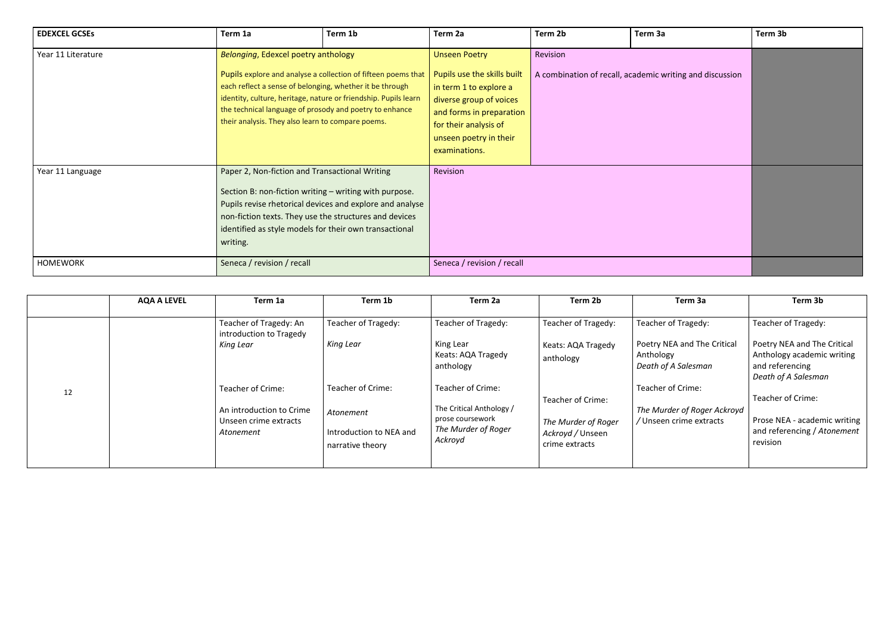| <b>EDEXCEL GCSES</b> | Term 1a                                                                                                                                                                                                                                                                            | Term 1b                                                       | Term 2a                                                                                                                                                                                                  | Term 2b  | Term 3a                                                  | Term 3b |
|----------------------|------------------------------------------------------------------------------------------------------------------------------------------------------------------------------------------------------------------------------------------------------------------------------------|---------------------------------------------------------------|----------------------------------------------------------------------------------------------------------------------------------------------------------------------------------------------------------|----------|----------------------------------------------------------|---------|
| Year 11 Literature   | Belonging, Edexcel poetry anthology<br>each reflect a sense of belonging, whether it be through<br>identity, culture, heritage, nature or friendship. Pupils learn<br>the technical language of prosody and poetry to enhance<br>their analysis. They also learn to compare poems. | Pupils explore and analyse a collection of fifteen poems that | <b>Unseen Poetry</b><br>Pupils use the skills built<br>in term 1 to explore a<br>diverse group of voices<br>and forms in preparation<br>for their analysis of<br>unseen poetry in their<br>examinations. | Revision | A combination of recall, academic writing and discussion |         |
| Year 11 Language     | Paper 2, Non-fiction and Transactional Writing<br>Section B: non-fiction writing - writing with purpose.<br>non-fiction texts. They use the structures and devices<br>identified as style models for their own transactional<br>writing.                                           | Pupils revise rhetorical devices and explore and analyse      | Revision                                                                                                                                                                                                 |          |                                                          |         |
| <b>HOMEWORK</b>      | Seneca / revision / recall                                                                                                                                                                                                                                                         |                                                               | Seneca / revision / recall                                                                                                                                                                               |          |                                                          |         |

|    | <b>AQA A LEVEL</b> | Term 1a                                                        | Term 1b                                                  | Term 2a                                                                        | Term 2b                                                   | Term 3a                                                         | Term 3b                                                                                             |
|----|--------------------|----------------------------------------------------------------|----------------------------------------------------------|--------------------------------------------------------------------------------|-----------------------------------------------------------|-----------------------------------------------------------------|-----------------------------------------------------------------------------------------------------|
|    |                    | Teacher of Tragedy: An<br>introduction to Tragedy              | Teacher of Tragedy:                                      | Teacher of Tragedy:                                                            | Teacher of Tragedy:                                       | Teacher of Tragedy:                                             | Teacher of Tragedy:                                                                                 |
|    |                    | King Lear                                                      | King Lear                                                | King Lear<br>Keats: AQA Tragedy<br>anthology                                   | Keats: AQA Tragedy<br>anthology                           | Poetry NEA and The Critical<br>Anthology<br>Death of A Salesman | Poetry NEA and The Critical<br>Anthology academic writing<br>and referencing<br>Death of A Salesman |
| 12 |                    | Teacher of Crime:                                              | Teacher of Crime:                                        | Teacher of Crime:                                                              | Teacher of Crime:                                         | Teacher of Crime:                                               | Teacher of Crime:                                                                                   |
|    |                    | An introduction to Crime<br>Unseen crime extracts<br>Atonement | Atonement<br>Introduction to NEA and<br>narrative theory | The Critical Anthology /<br>prose coursework<br>The Murder of Roger<br>Ackroyd | The Murder of Roger<br>Ackroyd / Unseen<br>crime extracts | The Murder of Roger Ackroyd<br>/ Unseen crime extracts          | Prose NEA - academic writing<br>and referencing / Atonement<br>revision                             |